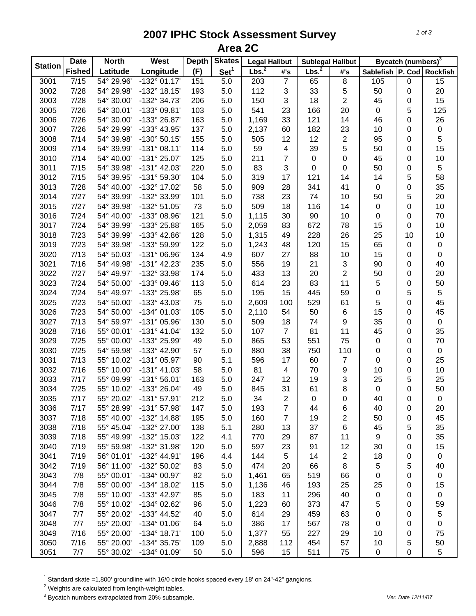## **2007 IPHC Stock Assessment Survey Area 2C**

| <b>Station</b> | <b>Date</b>   | <b>North</b><br>West<br><b>Depth</b> |                       |     | <b>Skates</b>    | <b>Legal Halibut</b> |                | <b>Sublegal Halibut</b> |                | Bycatch (numbers) <sup>3</sup> |                  |                           |
|----------------|---------------|--------------------------------------|-----------------------|-----|------------------|----------------------|----------------|-------------------------|----------------|--------------------------------|------------------|---------------------------|
|                | <b>Fished</b> | Latitude                             | Longitude             | (F) | Set <sup>1</sup> | Lbs. <sup>2</sup>    | #'s            | Lbs. <sup>2</sup>       | #'s            |                                |                  | Sablefish P. Cod Rockfish |
| 3001           | 7/15          | 54° 29.96'                           | $-132^{\circ}$ 01.17' | 151 | 5.0              | $\overline{203}$     | $\overline{7}$ | 65                      | $\overline{8}$ | 105                            | $\mathbf 0$      | $\overline{15}$           |
| 3002           | 7/28          | 54° 29.98'                           | -132° 18.15'          | 193 | 5.0              | 112                  | 3              | 33                      | $\mathbf 5$    | 50                             | 0                | 20                        |
| 3003           | 7/28          | 54° 30.00'                           | -132° 34.73'          | 206 | 5.0              | 150                  | 3              | 18                      | 2              | 45                             | 0                | 15                        |
| 3005           | 7/26          | 54° 30.01'                           | -133° 09.81'          | 103 | 5.0              | 541                  | 23             | 166                     | 20             | $\mathsf 0$                    | 5                | 125                       |
| 3006           | 7/26          | 54° 30.00'                           | -133° 26.87'          | 163 | 5.0              | 1,169                | 33             | 121                     | 14             | 46                             | 0                | 26                        |
| 3007           | 7/26          | 54° 29.99'                           | -133° 43.95'          | 137 | 5.0              | 2,137                | 60             | 182                     | 23             | 10                             | $\pmb{0}$        | $\pmb{0}$                 |
| 3008           | 7/14          | 54° 39.98'                           | $-130^{\circ} 50.15'$ | 155 | 5.0              | 505                  | 12             | 12                      | $\overline{c}$ | 95                             | $\mathbf 0$      | 5                         |
| 3009           | 7/14          | 54° 39.99'                           | $-131°08.11'$         | 114 | 5.0              | 59                   | 4              | 39                      | 5              | 50                             | 0                | 15                        |
| 3010           | 7/14          | 54° 40.00'                           | -131° 25.07'          | 125 | 5.0              | 211                  | $\overline{7}$ | $\pmb{0}$               | 0              | 45                             | 0                | 10                        |
| 3011           | 7/15          | 54° 39.98'                           | $-131^{\circ}$ 42.03' | 220 | 5.0              | 83                   | 3              | 0                       | 0              | 50                             | 0                | 5                         |
| 3012           | 7/15          | 54° 39.95'                           | -131° 59.30'          | 104 | 5.0              | 319                  | 17             | 121                     | 14             | 14                             | 5                | 58                        |
| 3013           | 7/28          | 54° 40.00'                           | -132° 17.02'          | 58  | 5.0              | 909                  | 28             | 341                     | 41             | 0                              | 0                | 35                        |
| 3014           | 7/27          | 54° 39.99'                           | -132° 33.99'          | 101 | 5.0              | 738                  | 23             | 74                      | 10             | 50                             | 5                | 20                        |
| 3015           | 7/27          | 54° 39.98'                           | $-132^{\circ} 51.05'$ | 73  | 5.0              | 509                  | 18             | 116                     | 14             | $\mathbf 0$                    | 0                | 10                        |
| 3016           | 7/24          | 54° 40.00'                           | -133° 08.96'          | 121 | 5.0              | 1,115                | 30             | 90                      | 10             | 0                              | 0                | 70                        |
| 3017           | 7/24          | 54° 39.99'                           | -133° 25.88'          | 165 | 5.0              | 2,059                | 83             | 672                     | 78             | 15                             | 0                | 10                        |
| 3018           | 7/23          | 54° 39.99'                           | -133° 42.86'          | 128 | 5.0              | 1,315                | 49             | 228                     | 26             | 25                             | 10               | 10                        |
| 3019           | 7/23          | 54° 39.98'                           | -133° 59.99'          | 122 | 5.0              | 1,243                | 48             | 120                     | 15             | 65                             | $\pmb{0}$        | $\pmb{0}$                 |
| 3020           | 7/13          | 54° 50.03'                           | -131° 06.96'          | 134 | 4.9              | 607                  | 27             | 88                      | 10             | 15                             | 0                | 0                         |
| 3021           | 7/16          | 54° 49.98'                           | $-131^{\circ}$ 42.23' | 235 | 5.0              | 556                  | 19             | 21                      | 3              | 90                             | 0                | 40                        |
| 3022           | 7/27          | 54° 49.97'                           | -132° 33.98'          | 174 | 5.0              | 433                  | 13             | 20                      | $\overline{2}$ | 50                             | 0                | 20                        |
| 3023           | 7/24          | 54° 50.00'                           | -133° 09.46'          | 113 | 5.0              | 614                  | 23             | 83                      | 11             | 5                              | $\pmb{0}$        | 50                        |
| 3024           | 7/24          | 54° 49.97'                           | -133° 25.98'          | 65  | 5.0              | 195                  | 15             | 445                     | 59             | $\pmb{0}$                      | 5                | 5                         |
| 3025           | 7/23          | 54° 50.00'                           | -133° 43.03'          | 75  | 5.0              | 2,609                | 100            | 529                     | 61             | $\sqrt{5}$                     | $\boldsymbol{0}$ | 45                        |
| 3026           | 7/23          | 54° 50.00'                           | $-134^{\circ}$ 01.03' | 105 | 5.0              | 2,110                | 54             | 50                      | $\,6\,$        | 15                             | 0                | 45                        |
| 3027           | 7/13          | 54° 59.97'                           | -131° 05.96'          | 130 | 5.0              | 509                  | 18             | 74                      | 9              | 35                             | 0                | $\mathbf 0$               |
| 3028           | 7/16          | 55° 00.01'                           | $-131^{\circ}$ 41.04' | 132 | 5.0              | 107                  | $\overline{7}$ | 81                      | 11             | 45                             | 0                | 35                        |
| 3029           | 7/25          | 55° 00.00'                           | -133° 25.99'          | 49  | 5.0              | 865                  | 53             | 551                     | 75             | $\mathbf 0$                    | 0                | 70                        |
| 3030           | 7/25          | 54° 59.98'                           | -133° 42.90'          | 57  | 5.0              | 880                  | 38             | 750                     | 110            | 0                              | 0                | $\mathsf 0$               |
| 3031           | 7/13          | 55° 10.02'                           | -131° 05.97'          | 90  | 5.1              | 596                  | 17             | 60                      | 7              | 0                              | 0                | 25                        |
| 3032           | 7/16          | 55° 10.00'                           | $-131^{\circ}$ 41.03' | 58  | 5.0              | 81                   | 4              | 70                      | 9              | 10                             | 0                | 10                        |
| 3033           | 7/17          | 55° 09.99'                           | $-131°56.01'$         | 163 | 5.0              | 247                  | 12             | 19                      | 3              | 25                             | 5                | 25                        |
| 3034           | 7/25          | 55° 10.02'                           | -133° 26.04'          | 49  | 5.0              | 845                  | 31             | 61                      | 8              | $\boldsymbol{0}$               | 0                | 50                        |
| 3035           | 7/17          | 55° 20.02'                           | $-131°57.91'$         | 212 | 5.0              | 34                   | $\overline{2}$ | $\pmb{0}$               | 0              | 40                             | 0                | $\pmb{0}$                 |
| 3036           | 7/17          | 55° 28.99'                           | $-131^{\circ}57.98'$  | 147 | 5.0              | 193                  | 7              | 44                      | 6              | 40                             | 0                | 20                        |
| 3037           | 7/18          | 55° 40.00'                           | -132° 14.88'          | 195 | 5.0              | 160                  | $\overline{7}$ | 19                      | 2              | 50                             | 0                | 45                        |
| 3038           | 7/18          | 55° 45.04'                           | -132° 27.00'          | 138 | 5.1              | 280                  | 13             | 37                      | 6              | 45                             | 5                | 35                        |
| 3039           | 7/18          | 55° 49.99'                           | -132° 15.03'          | 122 | 4.1              | 770                  | 29             | 87                      | 11             | 9                              | 0                | 35                        |
| 3040           | 7/19          | 55° 59.98'                           | -132° 31.98'          | 120 | 5.0              | 597                  | 23             | 91                      | 12             | 30                             | 0                | 15                        |
| 3041           | 7/19          | 56° 01.01'                           | -132° 44.91'          | 196 | 4.4              | 144                  | 5              | 14                      | 2              | 18                             | 0                | $\mathbf 0$               |
| 3042           | 7/19          | 56° 11.00'                           | -132° 50.02'          | 83  | 5.0              | 474                  | 20             | 66                      | 8              | 5                              | 5                | 40                        |
| 3043           | 7/8           | 55° 00.01'                           | -134° 00.97'          | 82  | 5.0              | 1,461                | 65             | 519                     | 66             | 0                              | 0                | 0                         |
| 3044           | 7/8           | 55° 00.00'                           | -134° 18.02'          | 115 | 5.0              | 1,136                | 46             | 193                     | 25             | 25                             | 0                | 15                        |
| 3045           | 7/8           | 55° 10.00'                           | -133° 42.97'          | 85  | 5.0              | 183                  | 11             | 296                     | 40             | 0                              | 0                | $\pmb{0}$                 |
| 3046           | 7/8           | 55° 10.02'                           | $-134^{\circ}$ 02.62' | 96  | 5.0              | 1,223                | 60             | 373                     | 47             | 5                              | 0                | 59                        |
| 3047           | 7/7           | 55° 20.02'                           | -133° 44.52'          | 40  | 5.0              | 614                  | 29             | 459                     | 63             | 0                              | 0                | 5                         |
| 3048           | 7/7           | 55° 20.00'                           | $-134^{\circ}$ 01.06' | 64  | 5.0              | 386                  | 17             | 567                     | 78             | 0                              | 0                | 0                         |
| 3049           | 7/16          | 55° 20.00'                           | $-134^{\circ}$ 18.71' | 100 | 5.0              | 1,377                | 55             | 227                     | 29             | 10                             | 0                | 75                        |
| 3050           | 7/16          | 55° 20.00'                           | $-134^{\circ}35.75'$  | 109 | 5.0              | 2,888                | 112            | 454                     | 57             | 10                             | 5                | 50                        |
| 3051           | 7/7           | 55° 30.02'                           | $-134^{\circ}$ 01.09' | 50  | 5.0              | 596                  | 15             | 511                     | 75             | 0                              | $\pmb{0}$        | 5                         |

<sup>1</sup> Standard skate =1,800' groundline with 16/0 circle hooks spaced every 18' on 24"-42" gangions.<br><sup>2</sup> Weights are calculated from length-weight tables.<br><sup>3</sup> Bycatch numbers extrapolated from 20% subsample.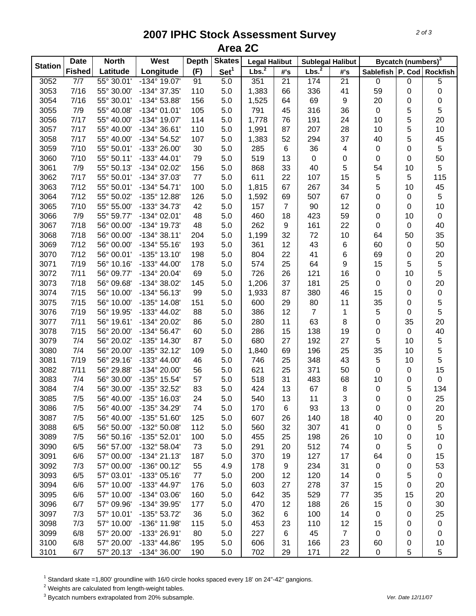## **2007 IPHC Stock Assessment Survey Area 2C**

|                | <b>Date</b>   | <b>North</b> | West                  | <b>Depth</b> | <b>Skates</b>    | <b>Legal Halibut</b> |                 | <b>Sublegal Halibut</b> |                         | Bycatch (numbers) <sup>3</sup> |             |                           |
|----------------|---------------|--------------|-----------------------|--------------|------------------|----------------------|-----------------|-------------------------|-------------------------|--------------------------------|-------------|---------------------------|
| <b>Station</b> | <b>Fished</b> | Latitude     | Longitude             | (F)          | Set <sup>1</sup> | Lbs. <sup>2</sup>    | #'s             | Lbs. <sup>2</sup>       | #'s                     |                                |             | Sablefish P. Cod Rockfish |
| 3052           | 7/7           | 55° 30.01'   | $-134^{\circ}$ 19.07' | 91           | 5.0              | 351                  | $\overline{21}$ | 174                     | $\overline{21}$         | $\mathsf 0$                    | $\pmb{0}$   | $\overline{5}$            |
| 3053           | 7/16          | 55° 30.00'   | -134° 37.35'          | 110          | 5.0              | 1,383                | 66              | 336                     | 41                      | 59                             | $\mathbf 0$ | 0                         |
| 3054           | 7/16          | 55° 30.01'   | -134° 53.88'          | 156          | 5.0              | 1,525                | 64              | 69                      | 9                       | 20                             | 0           | 0                         |
| 3055           | 7/9           | 55° 40.08'   | $-134^{\circ}$ 01.01' | 105          | 5.0              | 791                  | 45              | 316                     | 36                      | $\mathsf 0$                    | 5           | 5                         |
| 3056           | 7/17          | 55° 40.00'   | -134° 19.07'          | 114          | 5.0              | 1,778                | 76              | 191                     | 24                      | 10                             | 5           | 20                        |
| 3057           | 7/17          | 55° 40.00'   | $-134^{\circ}36.61'$  | 110          | 5.0              | 1,991                | 87              | 207                     | 28                      | 10                             | 5           | $10$                      |
| 3058           | 7/17          | 55° 40.00'   | -134° 54.52'          | 107          | 5.0              | 1,383                | 52              | 294                     | 37                      | 40                             | 5           | 45                        |
| 3059           | 7/10          | 55° 50.01'   | -133° 26.00'          | 30           | 5.0              | 285                  | 6               | 36                      | $\overline{\mathbf{4}}$ | $\mathbf 0$                    | $\mathbf 0$ | 5                         |
| 3060           | 7/10          | 55° 50.11'   | $-133^{\circ}$ 44.01' | 79           | 5.0              | 519                  | 13              | $\pmb{0}$               | 0                       | $\mathbf 0$                    | 0           | 50                        |
| 3061           | 7/9           | 55° 50.13'   | -134° 02.02'          | 156          | 5.0              | 868                  | 33              | 40                      | 5                       | 54                             | 10          | 5                         |
| 3062           | 7/17          | 55° 50.01'   | -134° 37.03'          | 77           | 5.0              | 611                  | 22              | 107                     | 15                      | 5                              | 5           | 115                       |
| 3063           | 7/12          | 55° 50.01'   | $-134^{\circ} 54.71'$ | 100          | 5.0              | 1,815                | 67              | 267                     | 34                      | 5                              | 10          | 45                        |
| 3064           | 7/12          | 55° 50.02'   | -135° 12.88'          | 126          | 5.0              | 1,592                | 69              | 507                     | 67                      | 0                              | $\pmb{0}$   | 5                         |
| 3065           | 7/10          | 55° 55.00'   | -133° 34.73'          | 42           | 5.0              | 157                  | $\overline{7}$  | 90                      | 12                      | 0                              | 0           | 10                        |
| 3066           | 7/9           | 55° 59.77'   | $-134^{\circ}$ 02.01' | 48           | 5.0              | 460                  | 18              | 423                     | 59                      | 0                              | 10          | $\pmb{0}$                 |
| 3067           | 7/18          | 56° 00.00'   | -134° 19.73'          | 48           | 5.0              | 262                  | 9               | 161                     | 22                      | 0                              | $\mathbf 0$ | 40                        |
| 3068           | 7/18          | 56° 00.00'   | $-134^{\circ}38.11'$  | 204          | 5.0              | 1,199                | 32              | 72                      | 10                      | 64                             | 50          | 35                        |
| 3069           | 7/12          | 56° 00.00'   | $-134^{\circ} 55.16'$ | 193          | 5.0              | 361                  | 12              | 43                      | $\,6$                   | 60                             | $\pmb{0}$   | 50                        |
| 3070           | 7/12          | 56° 00.01'   | $-135^{\circ}$ 13.10' | 198          | 5.0              | 804                  | 22              | 41                      | $\,6$                   | 69                             | 0           | 20                        |
| 3071           | 7/19          | 56° 10.16'   | $-133^{\circ}$ 44.00' | 178          | 5.0              | 574                  | 25              | 64                      | $\boldsymbol{9}$        | 15                             | 5           | $\sqrt{5}$                |
| 3072           | 7/11          | 56° 09.77'   | -134° 20.04'          | 69           | 5.0              | 726                  | 26              | 121                     | 16                      | $\mathsf 0$                    | 10          | 5                         |
| 3073           | 7/18          | 56° 09.68'   | -134° 38.02'          | 145          | 5.0              | 1,206                | 37              | 181                     | 25                      | $\pmb{0}$                      | $\pmb{0}$   | 20                        |
| 3074           | 7/15          | 56° 10.00'   | $-134^{\circ} 56.13'$ | 99           | 5.0              | 1,933                | 87              | 380                     | 46                      | 15                             | $\pmb{0}$   | $\pmb{0}$                 |
| 3075           | 7/15          | 56° 10.00'   | -135° 14.08'          | 151          | 5.0              | 600                  | 29              | 80                      | 11                      | 35                             | $\mathbf 0$ | 5                         |
| 3076           | 7/19          | 56° 19.95'   | -133° 44.02'          | 88           | 5.0              | 386                  | 12              | $\overline{7}$          | 1                       | $\sqrt{5}$                     | 0           | 5                         |
| 3077           | 7/11          | 56° 19.61'   | -134° 20.02'          | 86           | 5.0              | 280                  | 11              | 63                      | $\,8\,$                 | $\mathbf 0$                    | 35          | 20                        |
| 3078           | 7/15          | 56° 20.00'   | $-134^{\circ} 56.47'$ | 60           | 5.0              | 286                  | 15              | 138                     | 19                      | $\boldsymbol{0}$               | $\mathbf 0$ | 40                        |
| 3079           | 7/4           | 56° 20.02'   | -135° 14.30'          | 87           | 5.0              | 680                  | 27              | 192                     | 27                      | $\sqrt{5}$                     | 10          | 5                         |
| 3080           | 7/4           | 56° 20.00'   | $-135°32.12'$         | 109          | 5.0              | 1,840                | 69              | 196                     | 25                      | 35                             | 10          | 5                         |
| 3081           | 7/19          | 56° 29.16'   | $-133^{\circ}$ 44.00' | 46           | 5.0              | 746                  | 25              | 348                     | 43                      | 5                              | 10          | 5                         |
| 3082           | 7/11          | 56° 29.88'   | -134° 20.00'          | 56           | 5.0              | 621                  | 25              | 371                     | 50                      | 0                              | $\pmb{0}$   | 15                        |
| 3083           | 7/4           | 56° 30.00'   | -135° 15.54'          | 57           | 5.0              | 518                  | 31              | 483                     | 68                      | 10                             | 0           | 0                         |
| 3084           | 7/4           | 56° 30.00'   | -135° 32.52'          | 83           | 5.0              | 424                  | 13              | 67                      | 8                       | 0                              | 5           | 134                       |
| 3085           | 7/5           | 56° 40.00'   | -135° 16.03'          | 24           | 5.0              | 540                  | 13              | 11                      | 3                       | 0                              | 0           | 25                        |
| 3086           | 7/5           | 56° 40.00'   | -135° 34.29'          | 74           | 5.0              | 170                  | 6               | 93                      | 13                      | 0                              | 0           | 20                        |
| 3087           | 7/5           | 56° 40.00'   | $-135^{\circ} 51.60'$ | 125          | 5.0              | 607                  | 26              | 140                     | 18                      | 40                             | 0           | 20                        |
| 3088           | 6/5           | 56° 50.00'   | -132° 50.08'          | 112          | 5.0              | 560                  | 32              | 307                     | 41                      | $\mathbf 0$                    | 0           | 5                         |
| 3089           | 7/5           | 56° 50.16'   | $-135^{\circ}$ 52.01' | 100          | 5.0              | 455                  | 25              | 198                     | 26                      | 10                             | 0           | 10                        |
| 3090           | 6/5           | 56° 57.00'   | -132° 58.04'          | 73           | 5.0              | 291                  | 20              | 512                     | 74                      | $\pmb{0}$                      | 5           | 0                         |
| 3091           | 6/6           | 57° 00.00'   | $-134^{\circ} 21.13'$ | 187          | 5.0              | 370                  | 19              | 127                     | 17                      | 64                             | 0           | 15                        |
| 3092           | 7/3           | 57° 00.00'   | -136° 00.12'          | 55           | 4.9              | 178                  | 9               | 234                     | 31                      | $\mathbf 0$                    | 0           | 53                        |
| 3093           | 6/5           | 57° 03.01'   | $-133^{\circ}$ 05.16' | 77           | 5.0              | 200                  | 12              | 120                     | 14                      | 0                              | 5           | 0                         |
| 3094           | 6/6           | 57° 10.00'   | -133° 44.97'          | 176          | 5.0              | 603                  | 27              | 278                     | 37                      | 15                             | 0           | 20                        |
| 3095           | 6/6           | 57° 10.00'   | $-134^{\circ}$ 03.06' | 160          | 5.0              | 642                  | 35              | 529                     | 77                      | 35                             | 15          | 20                        |
| 3096           | 6/7           | 57° 09.96'   | -134° 39.95'          | 177          | 5.0              | 470                  | 12              | 188                     | 26                      | 15                             | 0           | 30                        |
| 3097           | 7/3           | 57° 10.01'   | -135° 53.72'          | 36           | 5.0              | 362                  | 6               | 100                     | 14                      | 0                              | 0           | 25                        |
| 3098           | 7/3           | 57° 10.00'   | -136° 11.98'          | 115          | 5.0              | 453                  | 23              | 110                     | 12                      | 15                             | 0           | 0                         |
| 3099           | 6/8           | 57° 20.00'   | -133° 26.91'          | 80           | 5.0              | 227                  | 6               | 45                      | $\overline{7}$          | $\mathbf 0$                    | 0           | 0                         |
| 3100           | 6/8           | 57° 20.00'   | -133° 44.86'          | 195          | 5.0              | 606                  | 31              | 166                     | 23                      | 60                             | 0           | 10                        |
| 3101           | 6/7           | 57° 20.13'   | -134° 36.00'          | 190          | 5.0              | 702                  | 29              | 171                     | 22                      | $\pmb{0}$                      | 5           | 5                         |

 $^1$  Standard skate =1,800' groundline with 16/0 circle hooks spaced every 18' on 24"-42" gangions.<br><sup>2</sup> Weights are calculated from length-weight tables.

3 Bycatch numbers extrapolated from 20% subsample. *Ver. Date 12/11/07*